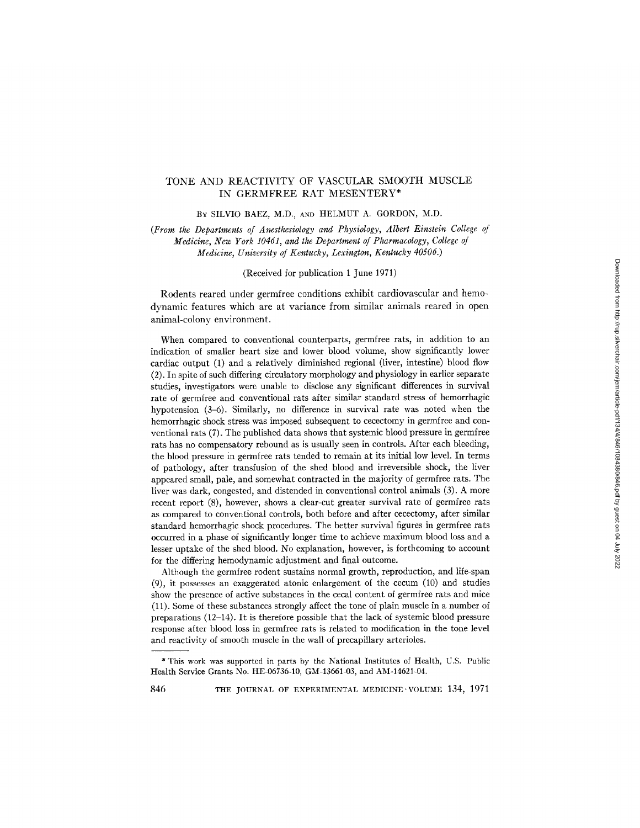# TONE AND REACTIVITY OF VASCULAR SMOOTH MUSCLE IN GERMFREE RAT MESENTERY\*

BY SILVlO BAEZ, M.D., AND HELMUT A. GORDON, M.D.

*(From the Departments of Anesthesiology and Physiology, Albert Einstein College of Medicine, New York 10461, and the Department of Pharmacology, College of Medicine, University of Kentucky, Lexington, Kentucky 40506.)* 

### (Received for publication 1 June 1971)

Rodents reared under germfree conditions exhibit cardiovascular and hemodynamic features which are at variance from similar animals reared in open animal-colony environment.

When compared to conventional counterparts, germfree rats, in addition to an indication of smaller heart size and lower blood volume, show significantly lower cardiac output (1) and a relatively diminished regional (liver, intestine) blood flow (2). In spite of such differing circulatory morphology and physiology in earlier separate studies, investigators were unable to disclose any significant differences in survival rate of germfree and conventional rats after similar standard stress of hemorrhagic hypotension (3-6). Similarly, no difference in survival rate was noted when the hemorrhagic shock stress was imposed subsequent to cecectomy in germfree and conventional rats (7). The published data shows that systemic blood pressure in germfree rats has no compensatory rebound as is usually seen in controls. After each bleeding, the blood pressure in germfree rats tended to remain at its initial low level. In terms of pathology, after transfusion of the shed blood and irreversible shock, the liver appeared small, pale, and somewhat contracted in the majority of germfree rats. The liver was dark, congested, and distended in conventional control animals (3). A more recent report (8), however, shows a clear-cut greater survival rate of germfree rats as compared to conventional controls, both before and after cecectomy, after similar standard hemorrhagic shock procedures. The better survival figures in germfree rats occurred in a phase of significantly longer time to achieve maximum blood loss and a lesser uptake of the shed blood. No explanation, however, is forthcoming to account for the differing hemodynamic adjustment and final outcome.

Although the germfree rodent sustains normal growth, reproduction, and life-span (9), it possesses an exaggerated atonic enlargement of the cecum (10) and studies show the presence of active substances in the cecal content of germfree rats and mice (11). Some of these substances strongly affect the tone of plain muscle in a number of preparations (12-14). It is therefore possible that the lack of systemic blood pressure response after blood loss in germfree rats is related to modification in the tone level and reactivity of smooth muscle in the wall of precapillary arterioles.

846 THE JOURNAL OF EXPERIMENTAL MEDICINE VOLUME 134, 1971

<sup>\*</sup> This work was supported in parts by the National Institutes of Health, U.S. Public Health Service Grants No. HE-06736-10, GM-13661-03, and AM-14621-04.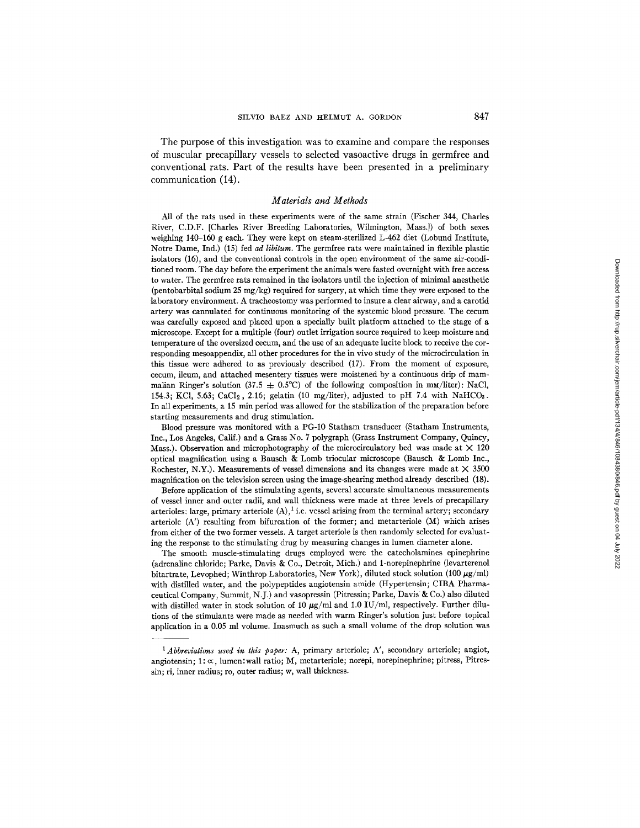The purpose of this investigation was to examine and compare the responses of muscular precapillary vessels to selected vasoactive drugs in germfree and conventional rats. Part of the results have been presented in a preliminary communication (14).

## *Materials and Methods*

All of the rats used in these experiments were of the same strain (Fischer 344, Charles River, C.D.F. [Charles River Breeding Laboratories, Wilmington, Mass.]) of both sexes weighing 140-160 g each. They were kept on steam-sterilized L-462 diet (Lobund Institute, Notre Dame, Ind.) (15) fed *ad libitum.* The germfree rats were maintained in flexible plastic isolators (16), and the conventional controls in the open environment of the same air-conditioned room. The day before the experiment the animals were fasted overnight with free access to water. The germfree rats remained in the isolators until the injection of minimal anesthetic (pentobarbital sodium 25 mg/kg) required for surgery, at which time they were exposed to the laboratory environment. A tracheostomy was performed to insure a clear airway, and a carotid artery was cannulated for continuous monitoring of the systemic blood pressure. The cecum was carefully exposed and placed upon a specially built platform attached to the stage of a microscope. Except for a multiple (four) outlet irrigation source required to keep moisture and temperature of the oversized cecum, and the use of an adequate lucite block to receive the corresponding mesoappendix, all other procedures for the in vivo study of the microcirculation in this tissue were adhered to as previously described (17). From the moment of exposure, cecum, ileum, and attached mesentery tissues were moistened by a continuous drip of mammalian Ringer's solution (37.5  $\pm$  0.5°C) of the following composition in mM/liter): NaCl. 154.3; KCl, 5.63; CaCl<sub>2</sub>, 2.16; gelatin (10 mg/liter), adjusted to pH 7.4 with NaHCO<sub>3</sub>. In all experiments, a 15 min period was allowed for the stabilization of the preparation before starting measurements and drug stimulation.

Blood pressure was monitored with a PG-10 Statham transducer (Statham Instruments, Inc., Los Angeles, Calif.) and a Grass No. 7 polygraph (Grass Instrument Company, Quincy, Mass.). Observation and microphotography of the microcirculatory bed was made at  $\times$  120 optical magnification using a Bausch & Lomb triocular microscope (Bausch & Lomb Inc., Rochester, N.Y.). Measurements of vessel dimensions and its changes were made at  $\times$  3500 magnification on the television screen using the image-shearing method already described (18).

Before application of the stimulating agents, several accurate simultaneous measurements of vessel inner and outer radii, and wall thickness were made at three levels of precapillary arterioles: large, primary arteriole  $(A)$ , i.e. vessel arising from the terminal artery; secondary arteriole  $(A')$  resulting from bifurcation of the former; and metarteriole  $(M)$  which arises from either of the two former vessels. A target arteriole is then randomly selected for evaluating the response to the stimulating drug by measuring changes in lumen diameter alone.

The smooth muscle-stimulating drugs employed were the catecholamines epinephrine (adrenaline chloride; Parke, Davis & Co., Detroit, Mich.) and 1-norepinephrine (levarterenol bitartrate, Levophed; Winthrop Laboratories, New York), diluted stock solution (100  $\mu$ g/ml) with distilled water, and the polypeptides angiotensin amide (Hypertensin; CIBA Pharmaceutical Company, Summit, N.J.) and vasopressin (Pitressin; Parke, Davis & Co.) also diluted with distilled water in stock solution of 10  $\mu$ g/ml and 1.0 IU/ml, respectively. Further dilutions of the stimulants were made as needed with warm Ringer's solution just before topical application in a 0.05 ml volume. Inasmuch as such a small volume of the drop solution was

*<sup>1</sup> Abbreviations used in this paper: A,* primary arteriole; A', secondary arteriole; angiot, angiotensin;  $1:\infty$ , lumen:wall ratio; M, metarteriole; norepi, norepinephrine; pitress, Pitressin; ri, inner radius; ro, outer radius; w, wall thickness.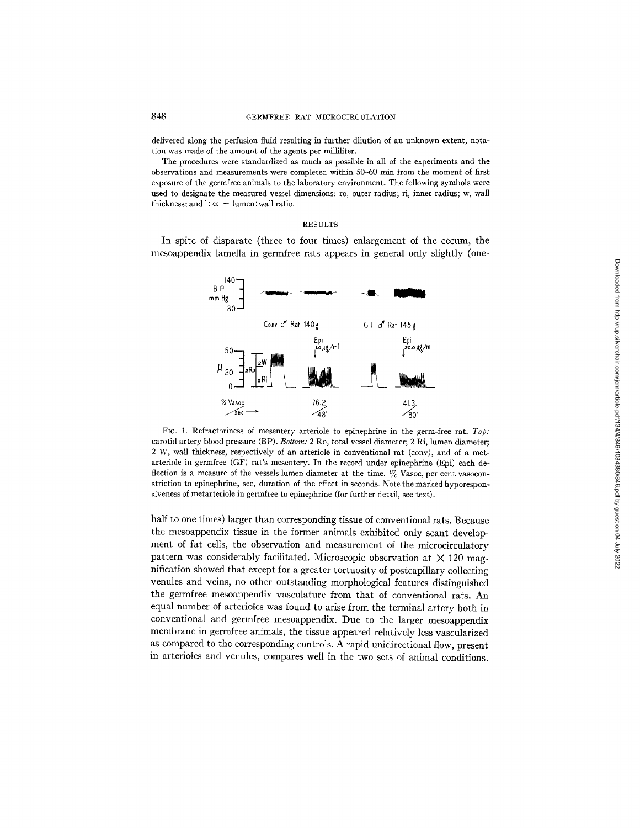delivered along the perfusion fluid resulting in further dilution of an unknown extent, notation was made of the amount of the agents per milliliter.

The procedures were standardized as much as possible in all of the experiments and the observations and measurements were completed within 50-60 min from the moment of first exposure of the germfree animals to the laboratory environment. The following symbols were used to designate the measured vessel dimensions: to, outer radius; ri, inner radius; w, wall thickness; and  $l: \infty =$  lumen: wall ratio.

## RESULTS

In spite of disparate (three to four times) enlargement of the cecum, the mesoappendix lamella in germfree rats appears in general only slightly (one-



FIG. 1. Refractoriness of mesentery arteriole to epinephrine in the germ-free rat. *Top:*  carotid artery blood pressure (BP). *Bottom:* 2 Ro, total vessel diameter; 2 Ri, lumen diameter; 2 W, wall thickness, respectively of an arteriole in conventional rat (cony), and of a metarteriole in germfree (GF) rat's mesentery. In the record under epinephrine (Epi) each deflection is a measure of the vessels lumen diameter at the time.  $\%$  Vasoc, per cent vasoconstriction to epinephrine, sec, duration of the effect in seconds. Note the marked hyporesponsiveness of metarteriole in germfree to epinephrine (for further detail, see text).

half to one times) larger than corresponding tissue of conventional rats. Because the mesoappendix tissue in the former animals exhibited only scant development of fat cells, the observation and measurement of the microcirculatory pattern was considerably facilitated. Microscopic observation at  $\times$  120 magnification showed that except for a greater tortuosity of postcapillary collecting venules and veins, no other outstanding morphological features distinguished the germfree mesoappendix vasculature from that of conventional rats. An equal number of arterioles was found to arise from the terminal artery both in conventional and germfree mesoappendix. Due to the larger mesoappendix membrane in germfree animals, the tissue appeared relatively less vascularized as compared to the corresponding controls. A rapid unidirectional flow, present in arterioles and venules, compares well in the two sets of animal conditions.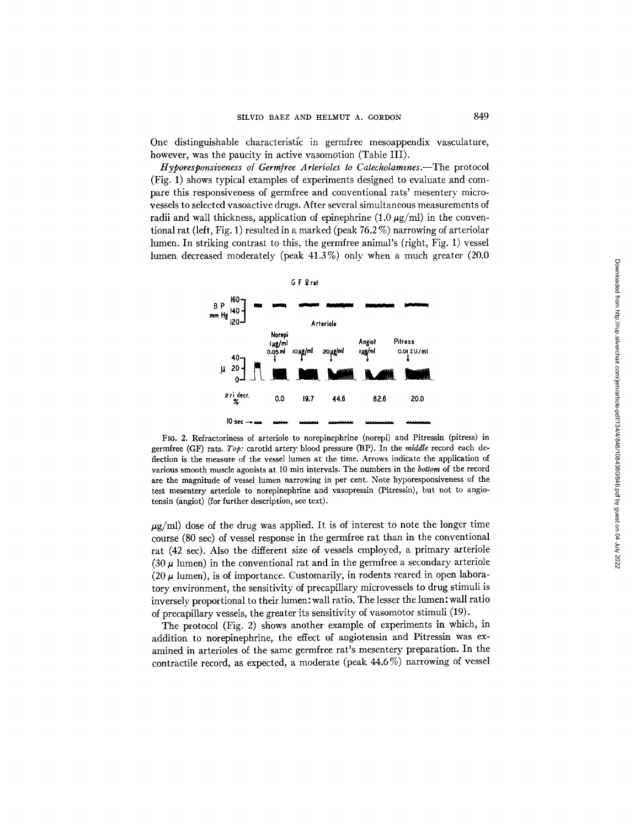One distinguishable characteristic in germfree mesoappendix vasculature, however, was the paucity in active vasomotion (Table III).

*Ityporesponsiveness of Germfree Arterioles to Catecholammes.--The* protocol (Fig. 1) shows typical examples of experiments designed to evaluate and compare this responsiveness of germfree and conventional rats' mesentery microvessels to selected vasoactive drugs. After several simultaneous measurements of radii and wall thickness, application of epinephrine  $(1.0 \mu g/ml)$  in the conventional rat (left, Fig. 1) resulted in a marked (peak 76.2 %) narrowing of arteriolar lumen. In striking contrast to this, the germfree animal's (right, Fig. l) vessel lumen decreased moderately (peak 41.3 %) only when a much greater (20.0



Fla. 2. Refractoriness of arteriole to norepinephrine (norepi) and Pitressin (pitress) in germfree (GF) rats. *Top:* carotid artery blood pressure (BP). In the *middle* record each deflection is the measure of the vessel lumen at the time. Arrows indicate the application of various smooth muscle agonists at l0 min intervals. The numbers in the *bottom* of the record are the magnitude of vessel lumen narrowing in per cent. Note hyporesponsiveness of the test mesentery arteriole to norepinephrine and vasopressin (Pitressin), but not to angiotensin (angiot) (for further description, see text).

 $\mu$ g/ml) dose of the drug was applied. It is of interest to note the longer time course (80 see) of vessel response in the germfree rat than in the conventional rat (42 sec). Also the different size of vessels employed, a primary arteriole (30  $\mu$  lumen) in the conventional rat and in the germfree a secondary arteriole (20  $\mu$  lumen), is of importance. Customarily, in rodents reared in open laboratory environment, the sensitivity of precapillary microvessels to drug stimuli is inversely proportional to their lumen: wall ratio. The lesser the lumen: wall ratio of precapillary vessels, the greater its sensitivity of vasomotor stimuli (19).

The protocol (Fig. 2) shows another example of experiments in which, in addition to norepinephrine, the effect of angiotensin and Pitressin was examined in arterioles of the same germfree rat's mesentery preparation. In the contractile record, as expected, a moderate (peak 44.6 %) narrowing of vessel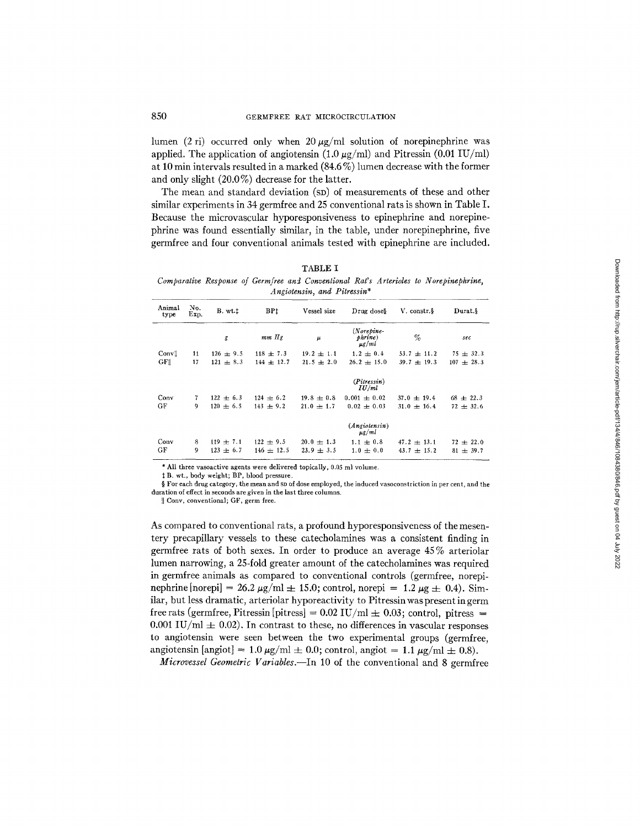lumen (2 ri) occurred only when 20  $\mu$ g/ml solution of norepinephrine was applied. The application of angiotensin  $(1.0 \mu g/ml)$  and Pitressin  $(0.01 \text{ IU/ml})$ at 10 min intervals resulted in a marked (84.6 %) lumen decrease with the former and only slight (20.0%) decrease for the latter.

The mean and standard deviation (SD) of measurements of these and other similar experiments in 34 germfree and 25 conventional rats is shown in Table I. Because the microvascular hyporesponsiveness to epinephrine and norepinephrine was found essentially similar, in the table, under norepinephrine, five germfree and four conventional animals tested with epinephrine are included.

TABLE I

*Comparative Response of Germfree and Conventional Rat's Arterioles to Norepinephrine, Angiotensin, and Pitressin\** 

| Animal<br>type   | No.<br>Exp. | B. wt.        | BP <sub>1</sub> | Vessel size    | Drug doses                            | V. constr.§     | Durat.§           |
|------------------|-------------|---------------|-----------------|----------------|---------------------------------------|-----------------|-------------------|
|                  |             | g             | mm Hg           | μ              | $(Norepine-$<br>phrine)<br>$\mu$ g/ml | $\%$            | sec               |
| Convil           | 11          | $126 \pm 9.5$ | $118 \pm 7.3$   | $19.2 \pm 1.1$ | $1.2 \pm 0.4$                         | $53.7 \pm 11.2$ | $75 \pm 32.3$     |
| GF <sub>  </sub> | 17          | $121 \pm 8.3$ | $144 \pm 12.7$  | $21.5 + 2.0$   | $26.2 + 15.0$                         | $39.7 + 19.3$   | 107<br>$\pm 28.3$ |
|                  |             |               |                 |                | (Pitressin)<br>IU/ml                  |                 |                   |
| Conv             | 7           | $122 + 6.3$   | $124 \pm 6.2$   | $19.8 \pm 0.8$ | $0.001 \pm 0.02$                      | $37.0 \pm 19.4$ | $68 \pm 22.3$     |
| GF               | 9           | $120 \pm 6.5$ | $143 + 9.2$     | $21.0 \pm 1.7$ | $0.02 + 0.03$                         | $31.0 + 16.4$   | $72 \pm 32.6$     |
|                  |             |               |                 |                | $(An\text{giotensin})$<br>$\mu$ g/ml  |                 |                   |
| Conv             | 8           | $119 \pm 7.1$ | $122 \pm 9.5$   | $20.0 \pm 1.3$ | $1.1 \pm 0.8$                         | $47.2 \pm 13.1$ | $72 \pm 22.0$     |
| GF               | 9           | $123 \pm 6.7$ | $146 \pm 12.5$  | $23.9 \pm 3.5$ | $1.0 \pm 0.0$                         | $43.7 \pm 15.2$ | $81 \pm 39.7$     |

\* All three vasoactive agents were delivered topically, 0.05 ml volume.

~; B. wt., body weight; BP, blood pressure.

§ For each drug category, the mean and  $s$ p of dose employed, the induced vasoconstriction in per cent, and the duration of effect in seconds are given in the last three columns.

|| Conv, conventional; GF, germ free.

As compared to conventional rats, a profound hyporesponsiveness of the mesentery precapillary vessels to these catecholamines was a consistent finding in germfree rats of both sexes. In order to produce an average 45 % arteriolar lumen narrowing, a 25-fold greater amount of the catecholamines was required in germfree animals as compared to conventional controls (germfree, norepinephrine [norepi] = 26.2  $\mu$ g/ml  $\pm$  15.0; control, norepi = 1.2  $\mu$ g  $\pm$  0.4). Similar, but less dramatic, arteriolar hyporeactivity to Pitressin was present in germ free rats (germfree, Pitressin [pitress] =  $0.02$  IU/ml  $\pm$  0.03; control, pitress = 0.001 IU/ml  $\pm$  0.02). In contrast to these, no differences in vascular responses to angiotensin were seen between the two experimental groups (germfree, angiotensin [angiot] =  $1.0~\mu$ g/ml  $\pm 0.0$ ; control, angiot =  $1.1~\mu$ g/ml  $\pm 0.8$ ).

*Microvessel Geometric Variables.--In* 10 of the conventional and 8 germfree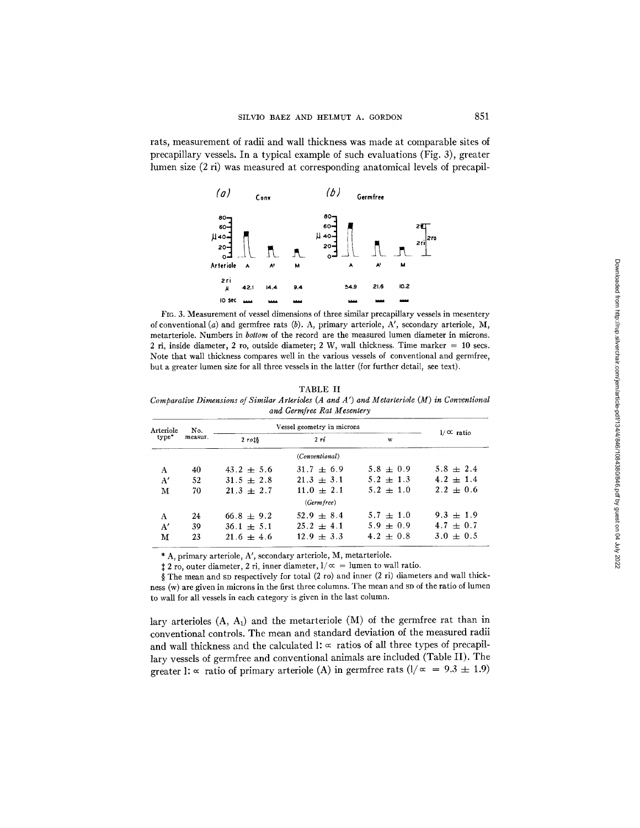rats, measurement of radii and wall thickness was made at comparable sites of precapillary vessels. In a typical example of such evaluations (Fig. 3), greater lumen size (2 ri) was measured at corresponding anatomical levels of precapil-



FIG. 3. Measurement of vessel dimensions of three similar precapillary vessels in mesentery of conventional (a)and germfree rats (b). A, primary arteriole, A', secondary arteriole, *M,*  metarteriole. Numbers in *bottom* of the record are the measured lumen diameter in microns. 2 ri, inside diameter, 2 ro, outside diameter; 2 W, wall thickness. Time marker  $= 10$  secs. Note that wall thickness compares well in the various vessels of conventional and germfree, but a greater lumen size for all three vessels in the latter (for further detail, see text).

## TABLE II

*Comparative Dimensions of Similar Arterioles (A and A ') and Metarteriole (M) in Conventional and Germfree Rat Mesentery* 

| Arteriole<br>type* | No.     | Vessel geometry in microns | $1/\alpha$ ratio      |               |               |
|--------------------|---------|----------------------------|-----------------------|---------------|---------------|
|                    | measur. | $2$ rots                   | 2ri                   | w             |               |
|                    |         |                            | <i>(Conventional)</i> |               |               |
| A                  | 40      | $43.2 + 5.6$               | $31.7 \pm 6.9$        | $5.8 + 0.9$   | $5.8 \pm 2.4$ |
| A'                 | 52      | $31.5 \pm 2.8$             | $21.3 \pm 3.1$        | $5.2 + 1.3$   | $4.2 \pm 1.4$ |
| м                  | 70      | $21.3 + 2.7$               | $11.0 + 2.1$          | $5.2 \pm 1.0$ | $2.2 \pm 0.6$ |
|                    |         |                            | (Germ free)           |               |               |
| A                  | 24      | $66.8 + 9.2$               | $52.9 + 8.4$          | $5.7 \pm 1.0$ | $9.3 + 1.9$   |
| A'                 | 39      | $36.1 \pm 5.1$             | $25.2 \pm 4.1$        | $5.9 \pm 0.9$ | $4.7 \pm 0.7$ |
| М                  | 23      | $21.6 + 4.6$               | $12.9 + 3.3$          | $4.2 + 0.8$   | $3.0 \pm 0.5$ |

\* A, primary arteriole, A', secondary arteriole, M, metarteriole.

 $\pm 2$  ro, outer diameter, 2 ri, inner diameter,  $1/\alpha =$  lumen to wall ratio.

§ The mean and SD respectively for total (2 ro) and inner (2 ri) diameters and wall thickness (w) are given in microns in the first three columns. The mean and SD of the ratio of lumen to wall for all vessels in each category is given in the last column.

lary arterioles  $(A, A_1)$  and the metarteriole  $(M)$  of the germfree rat than in conventional controls. The mean and standard deviation of the measured radii and wall thickness and the calculated  $l: \infty$  ratios of all three types of precapillary vessels of germfree and conventional animals are included (Table II). The greater 1:  $\propto$  ratio of primary arteriole (A) in germfree rats ( $1/\propto$  = 9.3  $\pm$  1.9)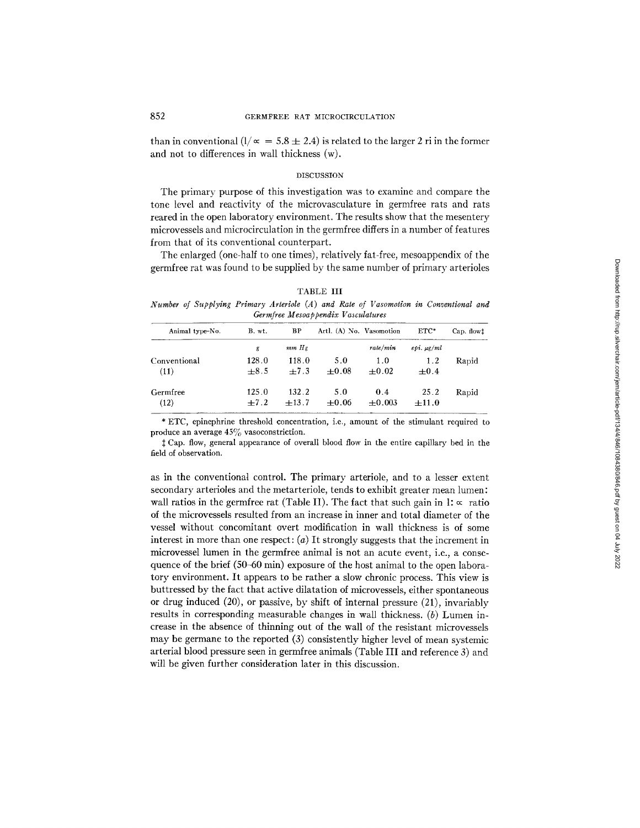than in conventional  $(1/\infty = 5.8 \pm 2.4)$  is related to the larger 2 ri in the former and not to differences in wall thickness (w).

### **DISCUSSION**

The primary purpose of this investigation was to examine and compare the tone level and reactivity of the microvasculature in germfree rats and rats reared in the open laboratory environment. The results show that the mesentery microvessels and microcirculation in the germfree differs in a number of features from that of its conventional counterpart.

The enlarged (one-half to one times), relatively fat-free, mesoappendix of the germfree rat was found to be supplied by the same number of primary arterioles

| <b>TARLE</b> |  |
|--------------|--|
|              |  |

*Number of Supplying Primary Arteriole (A) and Rate of Vasomotion in Conventional and Germfree Mesoappendix Vasculatures* 

| Animal type-No. | B. wt. | BP        | Artl. (A) No. Vasomotion |          | $ETC*$         | Cap. flowt |
|-----------------|--------|-----------|--------------------------|----------|----------------|------------|
|                 | g      | $mm$ $Hg$ |                          | rate/min | $epi \mu g/ml$ |            |
| Conventional    | 128.0  | 118.0     | 5.0                      | 1.0      | 1.2            | Rapid      |
| (11)            | $+8.5$ | $+7.3$    | $+0.08$                  | $+0.02$  | $+0.4$         |            |
| Germfree        | 125.0  | 132.2     | 5.0                      | 0.4      | 25.2           | Rapid      |
| (12)            | $+7.2$ | $+13.7$   | $+0.06$                  | $+0.003$ | $\pm 11.0$     |            |

\* ETC, epinephrine threshold concentration, i.e., amount of the stimulant required to produce an average  $45\%$  vasoconstriction.

Cap. flow, general appearance of overall blood flow in the entire capillary bed in the field of observation.

as in the conventional control. The primary arteriole, and to a lesser extent secondary arterioles and the metarteriole, tends to exhibit greater mean lumen: wall ratios in the germfree rat (Table II). The fact that such gain in  $\mathbf{l}$ :  $\propto$  ratio of the microvessels resulted from an increase in inner and total diameter of the vessel without concomitant overt modification in wall thickness is of some interest in more than one respect:  $(a)$  It strongly suggests that the increment in microvessel lumen in the germfree animal is not an acute event, i.e., a consequence of the brief (50-60 min) exposure of the host animal to the open laboratory environment. It appears to be rather a slow chronic process. This view is buttressed by the fact that active dilatation of microvessels, either spontaneous or drug induced (20), or passive, by shift of internal pressure (21), invariably results in corresponding measurable changes in wall thickness.  $(b)$  Lumen increase in the absence of thinning out of the wall of the resistant microvessels may be germane to the reported (3) consistently higher level of mean systemic arterial blood pressure seen in germfree animals (Table III and reference 3) and will be given further consideration later in this discussion.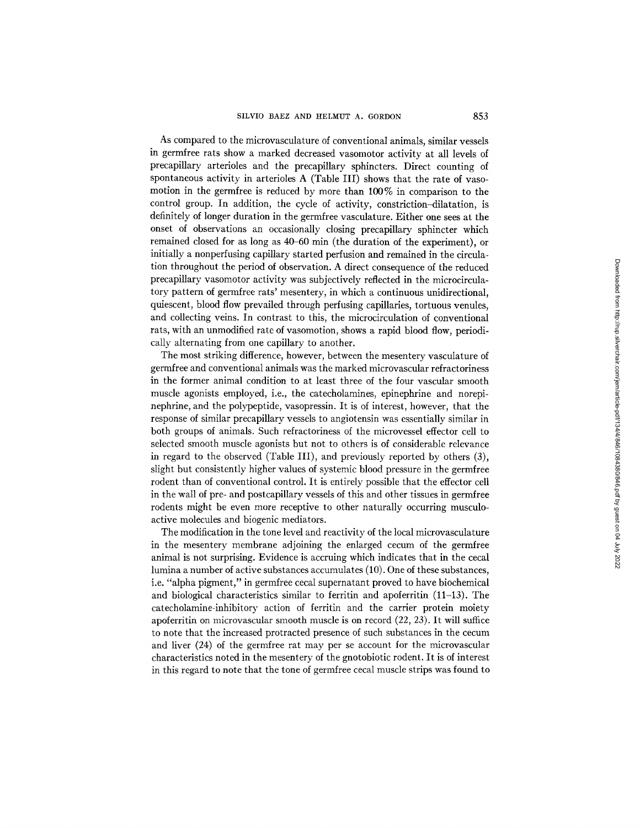As compared to the microvasculature of conventional animals, similar vessels in germfree rats show a marked decreased vasomotor activity at all levels of precapillary arterioles and the precapillary sphincters. Direct counting of spontaneous activity in arterioles A (Table III) shows that the rate of vasomotion in the germfree is reduced by more than 100% in comparison to the control group. In addition, the cycle of activity, constriction-dilatation, is definitely of longer duration in the germfree vasculature. Either one sees at the onset of observations an occasionally closing precapillary sphincter which remained closed for as long as 40-60 min (the duration of the experiment), or initially a nonperfusing capillary started perfusion and remained in the circulation throughout the period of observation. A direct consequence of the reduced precapillary vasomotor activity was subjectively reflected in the microcirculatory pattern of germfree rats' mesentery, in which a continuous unidirectional, quiescent, blood flow prevailed through perfusing capillaries, tortuous venules, and collecting veins. In contrast to this, the microcirculation of conventional rats, with an unmodified rate of vasomotion, shows a rapid blood flow, periodically alternating from one capillary to another.

The most striking difference, however, between the mesentery vasculature of germfree and conventional animals was the marked microvascular refractoriness in the former animal condition to at least three of the four vascular smooth muscle agonists employed, i.e., the catecholamines, epinephrine and norepinephrine, and the polypeptide, vasopressin. It is of interest, however, that the response of similar precapillary vessels to angiotensin was essentially similar in both groups of animals. Such refractoriness of the microvessel effector cell to selected smooth muscle agonists but not to others is of considerable relevance in regard to the observed (Table III), and previously reported by others (3), slight but consistently higher values of systemic blood pressure in the germfree rodent than of conventional control. It is entirely possible that the effector cell in the wall of pre- and postcapillary vessels of this and other tissues in germfree rodents might be even more receptive to other naturally occurring musculoactive molecules and biogenic mediators.

The modification in the tone level and reactivity of the local microvasculature in the mesentery membrane adjoining the enlarged cecum of the germfree animal is not surprising. Evidence is accruing which indicates that in the cecal lumina a number of active substances accumulates (10). One of these substances, i.e. "alpha pigment," in germfree cecal supernatant proved to have biochemical and biological characteristics similar to ferritin and apoferritin (11-13). The catecholamine-inhibitory action of ferritin and the carrier protein moiety apoferritin on microvascular smooth muscle is on record (22, 23). It will suffice to note that the increased protracted presence of such substances in the cecum and liver (24) of the germfree rat may per se account for the microvascular characteristics noted in the mesentery of the gnotobiotic rodent. It is of interest in this regard to note that the tone of germfree cecal muscle strips was found to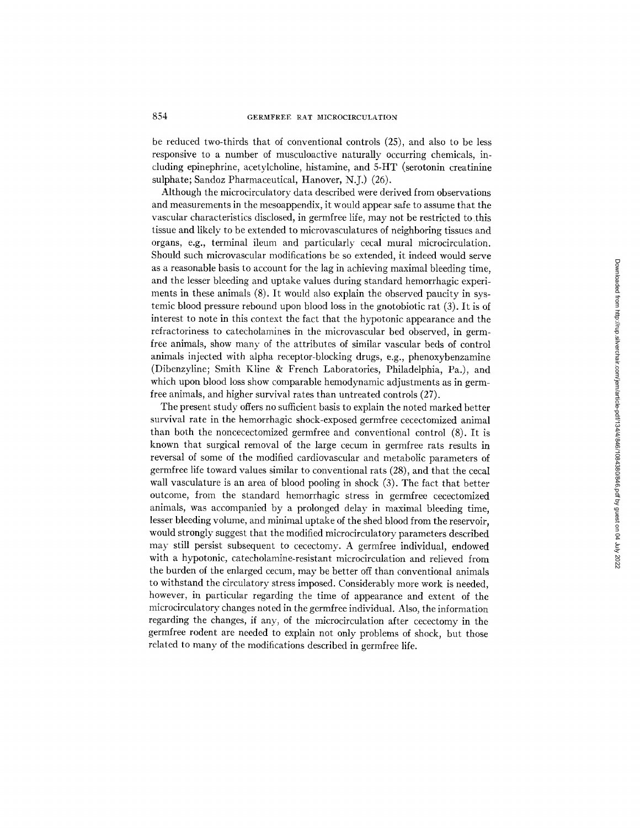be reduced two-thirds that of conventional controls (25), and also to be less responsive to a number of musculoactive naturally occurring chemicals, including epinephrine, acetylcholine, histamine, and 5-HT (serotonin creatinine sulphate; Sandoz Pharmaceutical, Hanover, N.J.) (26).

Although the microcirculatory data described were derived from observations and measurements in the mesoappendix, it would appear safe to assume that the vascular characteristics disclosed, in germfree life, may not be restricted to this tissue and likely to be extended to microvasculatures of neighboring tissues and organs, e.g., terminal ileum and particularly cecal mural microcirculation. Should such microvascular modifications be so extended, it indeed would serve as a reasonable basis to account for the lag in achieving maximal bleeding time, and the lesser bleeding and uptake values during standard hemorrhagic experiments in these animals (8). It would also explain the observed paucity in systemic blood pressure rebound upon blood loss in the gnotobiotic rat (3). It is of interest to note in this context the fact that the hypotonic appearance and the refractoriness to catecholamines in the microvascular bed observed, in germfree animals, show many of the attributes of similar vascular beds of control animals injected with alpha receptor-blocking drugs, e.g., phenoxybenzamine (Dibenzyline; Smith Kline & French Laboratories, Philadelphia, Pa.), and which upon blood loss show comparable hemodynamic adjustments as in germfree animals, and higher survival rates than untreated controls (27).

The present study offers no sufficient basis to explain the noted marked better survival rate in the hemorrhagic shock-exposed germfree cecectomized animal than both the noncecectomized germfree and conventional control (8). It is known that surgical removal of the large cecum in germfree rats results in reversal of some of the modified cardiovascular and metabolic parameters of germfree life toward values similar to conventional rats (28), and that the cecal wall vasculature is an area of blood pooling in shock (3). The fact that better outcome, from the standard hemorrhagic stress in germfree cecectomized animals, was accompanied by a prolonged delay in maximal bleeding time, lesser bleeding volume, and minimal uptake of the shed blood from the reservoir, would strongly suggest that the modified microcirculatory parameters described may still persist subsequent to cecectomy. A germfree individual, endowed with a hypotonic, catecholamine-resistant microcirculation and relieved from the burden of the enlarged cecum, may be better off than conventional animals to withstand the circulatory stress imposed. Considerably more work is needed, however, in particular regarding the time of appearance and extent of the microcirculatory changes noted in the gernffree individual. Also, the information regarding the changes, if any, of the microcirculation after cecectomy in the germfree rodent are needed to explain not only problems of shock, but those related to many of the modifications described in germfree life.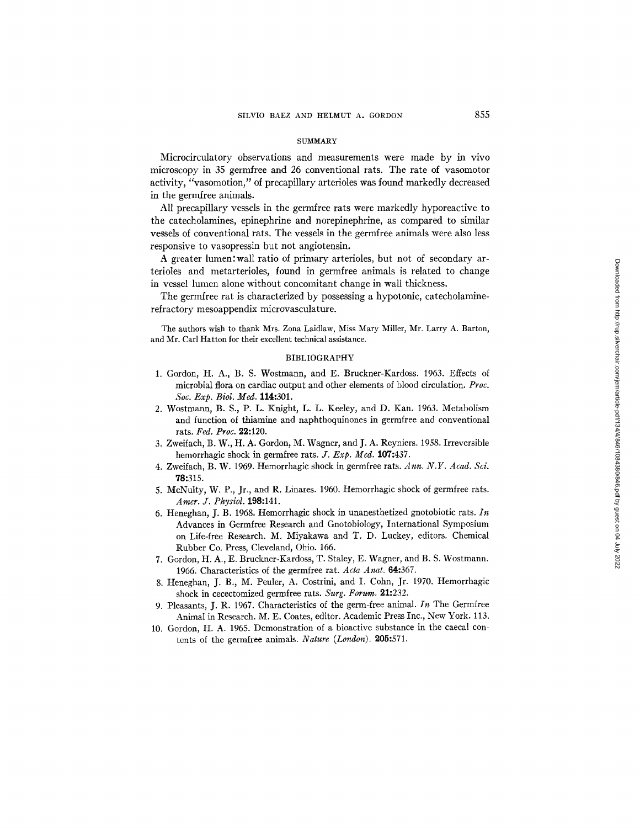#### **SUMMARY**

Microcirculatory observations and measurements were made by in vivo microscopy in 35 germfree and 26 conventional rats. The rate of vasomotor activity, "vasomotion," of precapillary arterioles was found markedly decreased in the germfree animals.

All precapillary vessels in the germfree rats were markedly hyporeactive to the catecholamines, epinephrine and norepinephrine, as compared to similar vessels of conventional rats. The vessels in the germfree animals were also less responsive to vasopressin but not angiotensin.

A greater lumen:wall ratio of primary arterioles, but not of secondary arterioles and metarterioles, found in germfree animals is related to change in vessel lumen alone without concomitant change in wall thickness.

The germfree rat is characterized by possessing a hypotonic, catecholaminerefractory mesoappendix microvasculature.

The authors wish to thank Mrs. Zona Laidlaw, Miss Mary Miller, Mr. Larry A. Barton, and Mr. Carl Hatton for their excellent technical assistance.

### BIBLIOGRAPHY

- 1. Gordon, H. A., B. S. Wostmann, and E. Bruckner-Kardoss. 1963. Effects of microbial flora on cardiac output and other elements of blood circulation. *Proc. Soc. Exp. Biol. Med.* 114:301.
- 2. Wostmann, B. S., P. L. Knight, L. L. Keeley, and D. Kan. 1963. Metabolism and function of thiamine and naphthoquinones in germfree and conventional rats. *Fed. Proc.* 29.:120.
- 3. Zweifach, B. W., H. A. Gordon, M. Wagner, and J. A. Reyniers. 1958. Irreversible hemorrhagic shock in germfree rats. *J. Exp. Med.* 107:437.
- 4. Zweifach, B. W. 1969. Hemorrhagic shock in germfree rats. Ann. N.Y. Acad. Sci. 78:315.
- 5. McNulty, W. P., Jr., and R. Linares. 1960. Hemorrhagic shock of germfree rats. *Amer. Y. Physiol.* **198:141.**
- 6. Heneghan, J. B. 1968. Hemorrhagic shock in unanesthetized gnotobiotic rats.  $In$ Advances in Germfree Research and Gnotobiology, International Symposium on Life-free Research. M. Miyakawa and T. D. Luckey, editors. Chemical Rubber Co. Press, Cleveland, Ohio. 166.
- 7. Gordon, H. A., E. Bruckner-Kardoss, T. Staley, E. Wagner, and B. S. Wostmann. 1966. Characteristics of the germfree rat. *Acta Anat.* 64:367.
- 8. Heneghan, J. B., M. Peuler, A. Costrini, and I. Cohn, Jr. 1970. Hemorrhagic shock in cecectomized germfree rats. *Surg. Forum.* 21:232.
- 9. Pleasants, J. R. 1967. Characteristics of the germ-free animal. In The Germfree Animal in Research. M. E. Coates, editor. Academic Press Inc., New York. 113.
- 10. Gordon, H. A. 1965. Demonstration of a bioactive substance in the caecal contents of the germfree animals. *Nature (London)*. **205:**571.